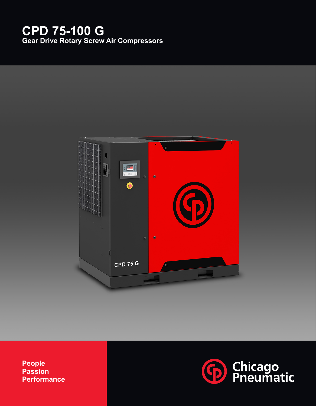# **CPD 75-100 G**

**Gear Drive Rotary Screw Air Compressors**



**People Passion Performance**